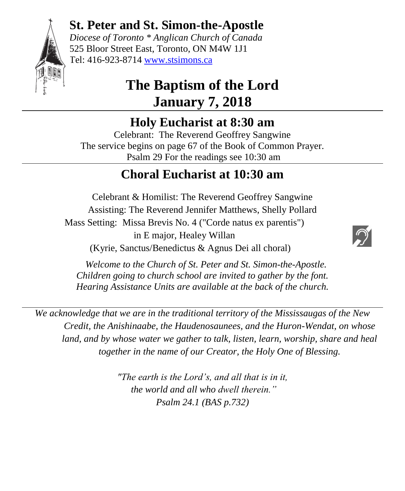

# **St. Peter and St. Simon-the-Apostle**

*Diocese of Toronto \* Anglican Church of Canada* 525 Bloor Street East, Toronto, ON M4W 1J1 Tel: 416-923-8714 [www.stsimons.ca](http://www.stsimons.ca/)

# **The Baptism of the Lord January 7, 2018**

# **Holy Eucharist at 8:30 am**

Celebrant: The Reverend Geoffrey Sangwine The service begins on page 67 of the Book of Common Prayer. Psalm 29 For the readings see 10:30 am

# **Choral Eucharist at 10:30 am**

Celebrant & Homilist: The Reverend Geoffrey Sangwine Assisting: The Reverend Jennifer Matthews, Shelly Pollard Mass Setting: Missa Brevis No. 4 ("Corde natus ex parentis") in E major, Healey Willan (Kyrie, Sanctus/Benedictus & Agnus Dei all choral)  $\overline{\phantom{a}}$ 



 *Welcome to the Church of St. Peter and St. Simon-the-Apostle. Children going to church school are invited to gather by the font. Hearing Assistance Units are available at the back of the church.*

*We acknowledge that we are in the traditional territory of the Mississaugas of the New Credit, the Anishinaabe, the Haudenosaunees, and the Huron-Wendat, on whose land, and by whose water we gather to talk, listen, learn, worship, share and heal together in the name of our Creator, the Holy One of Blessing.*

> *"The earth is the Lord's, and all that is in it, the world and all who dwell therein." Psalm 24.1 (BAS p.732)*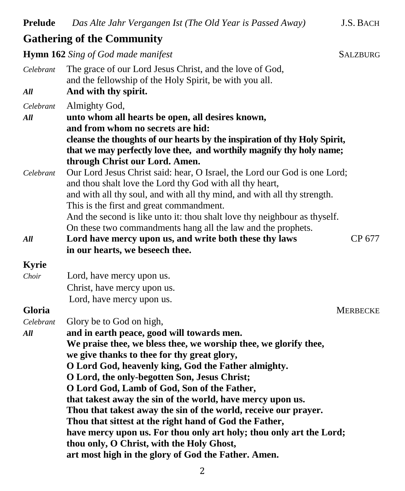| <b>Prelude</b>                                                                                                                                                                                                   | Das Alte Jahr Vergangen Ist (The Old Year is Passed Away)                                                           | J.S. BACH       |  |  |                                                                 |  |  |  |
|------------------------------------------------------------------------------------------------------------------------------------------------------------------------------------------------------------------|---------------------------------------------------------------------------------------------------------------------|-----------------|--|--|-----------------------------------------------------------------|--|--|--|
|                                                                                                                                                                                                                  | <b>Gathering of the Community</b>                                                                                   |                 |  |  |                                                                 |  |  |  |
|                                                                                                                                                                                                                  | <b>Hymn 162</b> Sing of God made manifest                                                                           | <b>SALZBURG</b> |  |  |                                                                 |  |  |  |
| Celebrant                                                                                                                                                                                                        | The grace of our Lord Jesus Christ, and the love of God,<br>and the fellowship of the Holy Spirit, be with you all. |                 |  |  |                                                                 |  |  |  |
| All                                                                                                                                                                                                              | And with thy spirit.                                                                                                |                 |  |  |                                                                 |  |  |  |
| Celebrant                                                                                                                                                                                                        | Almighty God,                                                                                                       |                 |  |  |                                                                 |  |  |  |
| All                                                                                                                                                                                                              | unto whom all hearts be open, all desires known,                                                                    |                 |  |  |                                                                 |  |  |  |
|                                                                                                                                                                                                                  | and from whom no secrets are hid:                                                                                   |                 |  |  |                                                                 |  |  |  |
|                                                                                                                                                                                                                  | cleanse the thoughts of our hearts by the inspiration of thy Holy Spirit,                                           |                 |  |  |                                                                 |  |  |  |
|                                                                                                                                                                                                                  | that we may perfectly love thee, and worthily magnify thy holy name;<br>through Christ our Lord. Amen.              |                 |  |  |                                                                 |  |  |  |
| Celebrant                                                                                                                                                                                                        | Our Lord Jesus Christ said: hear, O Israel, the Lord our God is one Lord;                                           |                 |  |  |                                                                 |  |  |  |
|                                                                                                                                                                                                                  | and thou shalt love the Lord thy God with all thy heart,                                                            |                 |  |  |                                                                 |  |  |  |
|                                                                                                                                                                                                                  | and with all thy soul, and with all thy mind, and with all thy strength.                                            |                 |  |  |                                                                 |  |  |  |
|                                                                                                                                                                                                                  | This is the first and great commandment.                                                                            |                 |  |  |                                                                 |  |  |  |
|                                                                                                                                                                                                                  | And the second is like unto it: thou shalt love thy neighbour as thyself.                                           |                 |  |  |                                                                 |  |  |  |
|                                                                                                                                                                                                                  | On these two commandments hang all the law and the prophets.                                                        |                 |  |  |                                                                 |  |  |  |
| All                                                                                                                                                                                                              | Lord have mercy upon us, and write both these thy laws<br>in our hearts, we beseech thee.                           | CP 677          |  |  |                                                                 |  |  |  |
|                                                                                                                                                                                                                  |                                                                                                                     |                 |  |  |                                                                 |  |  |  |
| <b>Kyrie</b><br>Choir                                                                                                                                                                                            | Lord, have mercy upon us.                                                                                           |                 |  |  |                                                                 |  |  |  |
|                                                                                                                                                                                                                  | Christ, have mercy upon us.                                                                                         |                 |  |  |                                                                 |  |  |  |
|                                                                                                                                                                                                                  | Lord, have mercy upon us.                                                                                           |                 |  |  |                                                                 |  |  |  |
| Gloria                                                                                                                                                                                                           |                                                                                                                     | <b>MERBECKE</b> |  |  |                                                                 |  |  |  |
| Celebrant                                                                                                                                                                                                        | Glory be to God on high,                                                                                            |                 |  |  |                                                                 |  |  |  |
| All                                                                                                                                                                                                              | and in earth peace, good will towards men.                                                                          |                 |  |  |                                                                 |  |  |  |
|                                                                                                                                                                                                                  | We praise thee, we bless thee, we worship thee, we glorify thee,                                                    |                 |  |  |                                                                 |  |  |  |
|                                                                                                                                                                                                                  | we give thanks to thee for thy great glory,                                                                         |                 |  |  |                                                                 |  |  |  |
| O Lord God, heavenly king, God the Father almighty.<br>O Lord, the only-begotten Son, Jesus Christ;<br>O Lord God, Lamb of God, Son of the Father,<br>that takest away the sin of the world, have mercy upon us. |                                                                                                                     |                 |  |  |                                                                 |  |  |  |
|                                                                                                                                                                                                                  |                                                                                                                     |                 |  |  | Thou that takest away the sin of the world, receive our prayer. |  |  |  |
|                                                                                                                                                                                                                  |                                                                                                                     |                 |  |  | Thou that sittest at the right hand of God the Father,          |  |  |  |
|                                                                                                                                                                                                                  | have mercy upon us. For thou only art holy; thou only art the Lord;                                                 |                 |  |  |                                                                 |  |  |  |
|                                                                                                                                                                                                                  | thou only, O Christ, with the Holy Ghost,                                                                           |                 |  |  |                                                                 |  |  |  |
|                                                                                                                                                                                                                  | art most high in the glory of God the Father. Amen.                                                                 |                 |  |  |                                                                 |  |  |  |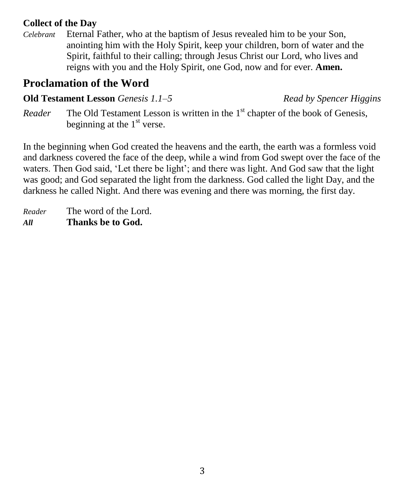### **Collect of the Day**

*Celebrant* Eternal Father, who at the baptism of Jesus revealed him to be your Son, anointing him with the Holy Spirit, keep your children, born of water and the Spirit, faithful to their calling; through Jesus Christ our Lord, who lives and reigns with you and the Holy Spirit, one God, now and for ever. **Amen.**

# **Proclamation of the Word**

### **Old Testament Lesson** *Genesis 1.1–5**Read by Spencer Higgins*

*Reader* The Old Testament Lesson is written in the 1<sup>st</sup> chapter of the book of Genesis, beginning at the  $1<sup>st</sup>$  verse.

In the beginning when God created the heavens and the earth, the earth was a formless void and darkness covered the face of the deep, while a wind from God swept over the face of the waters. Then God said, 'Let there be light'; and there was light. And God saw that the light was good; and God separated the light from the darkness. God called the light Day, and the darkness he called Night. And there was evening and there was morning, the first day.

*Reader* The word of the Lord. *All* **Thanks be to God.**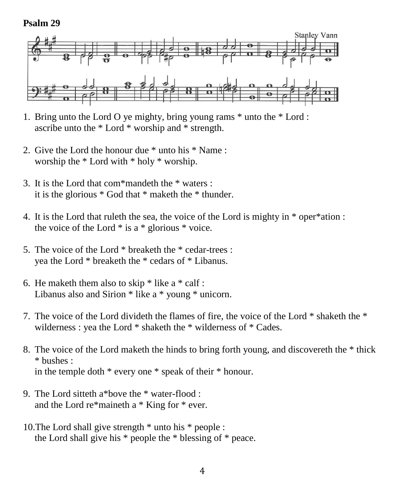#### **Psalm 29**



- 1. Bring unto the Lord O ye mighty, bring young rams \* unto the \* Lord : ascribe unto the \* Lord \* worship and \* strength.
- 2. Give the Lord the honour due \* unto his \* Name : worship the \* Lord with \* holy \* worship.
- 3. It is the Lord that com\*mandeth the \* waters : it is the glorious \* God that \* maketh the \* thunder.
- 4. It is the Lord that ruleth the sea, the voice of the Lord is mighty in \* oper\*ation : the voice of the Lord  $*$  is a  $*$  glorious  $*$  voice.
- 5. The voice of the Lord \* breaketh the \* cedar-trees : yea the Lord \* breaketh the \* cedars of \* Libanus.
- 6. He maketh them also to skip  $*$  like a  $*$  calf : Libanus also and Sirion \* like a \* young \* unicorn.
- 7. The voice of the Lord divideth the flames of fire, the voice of the Lord \* shaketh the \* wilderness : yea the Lord \* shaketh the \* wilderness of \* Cades.
- 8. The voice of the Lord maketh the hinds to bring forth young, and discovereth the \* thick \* bushes : in the temple doth \* every one \* speak of their \* honour.
- 9. The Lord sitteth a\*bove the \* water-flood : and the Lord re\*maineth a \* King for \* ever.
- 10.The Lord shall give strength \* unto his \* people : the Lord shall give his \* people the \* blessing of \* peace.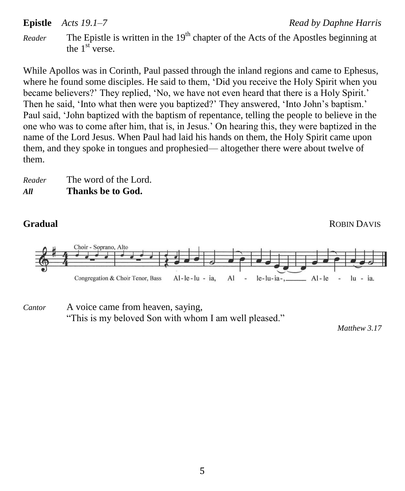**Epistle** *Acts 19.1–7* **Read by Daphne Harris** 

*Reader* The Epistle is written in the 19<sup>th</sup> chapter of the Acts of the Apostles beginning at the  $1<sup>st</sup>$  verse.

While Apollos was in Corinth, Paul passed through the inland regions and came to Ephesus, where he found some disciples. He said to them, 'Did you receive the Holy Spirit when you became believers?' They replied, 'No, we have not even heard that there is a Holy Spirit.' Then he said, 'Into what then were you baptized?' They answered, 'Into John's baptism.' Paul said, 'John baptized with the baptism of repentance, telling the people to believe in the one who was to come after him, that is, in Jesus.' On hearing this, they were baptized in the name of the Lord Jesus. When Paul had laid his hands on them, the Holy Spirit came upon them, and they spoke in tongues and prophesied— altogether there were about twelve of them.

| Reader | The word of the Lord. |
|--------|-----------------------|
| All    | Thanks be to God.     |

**Gradual** ROBIN DAVIS



### *Cantor* A voice came from heaven, saying, "This is my beloved Son with whom I am well pleased."

*Matthew 3.17*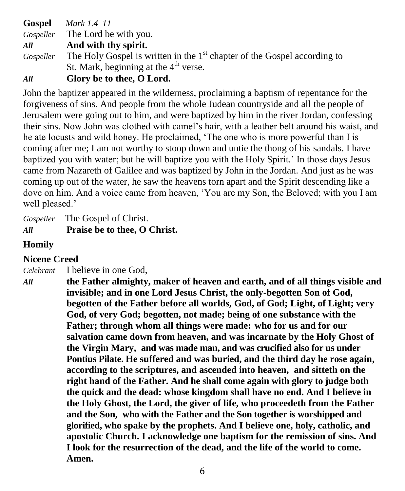**Gospel** *Mark 1.4–11 Gospeller* The Lord be with you. *All* **And with thy spirit.** Gospeller The Holy Gospel is written in the 1<sup>st</sup> chapter of the Gospel according to St. Mark, beginning at the  $4<sup>th</sup>$  verse. *All* **Glory be to thee, O Lord.**

John the baptizer appeared in the wilderness, proclaiming a baptism of repentance for the forgiveness of sins. And people from the whole Judean countryside and all the people of Jerusalem were going out to him, and were baptized by him in the river Jordan, confessing their sins. Now John was clothed with camel's hair, with a leather belt around his waist, and he ate locusts and wild honey. He proclaimed, 'The one who is more powerful than I is coming after me; I am not worthy to stoop down and untie the thong of his sandals. I have baptized you with water; but he will baptize you with the Holy Spirit.' In those days Jesus came from Nazareth of Galilee and was baptized by John in the Jordan. And just as he was coming up out of the water, he saw the heavens torn apart and the Spirit descending like a dove on him. And a voice came from heaven, 'You are my Son, the Beloved; with you I am well pleased.'

*Gospeller* The Gospel of Christ. *All* **Praise be to thee, O Christ.**

## **Homily**

# **Nicene Creed**

*Celebrant* I believe in one God,

*All* **the Father almighty, maker of heaven and earth, and of all things visible and invisible; and in one Lord Jesus Christ, the only-begotten Son of God, begotten of the Father before all worlds, God, of God; Light, of Light; very God, of very God; begotten, not made; being of one substance with the Father; through whom all things were made: who for us and for our salvation came down from heaven, and was incarnate by the Holy Ghost of the Virgin Mary, and was made man, and was crucified also for us under Pontius Pilate. He suffered and was buried, and the third day he rose again, according to the scriptures, and ascended into heaven, and sitteth on the right hand of the Father. And he shall come again with glory to judge both the quick and the dead: whose kingdom shall have no end. And I believe in the Holy Ghost, the Lord, the giver of life, who proceedeth from the Father and the Son, who with the Father and the Son together is worshipped and glorified, who spake by the prophets. And I believe one, holy, catholic, and apostolic Church. I acknowledge one baptism for the remission of sins. And I look for the resurrection of the dead, and the life of the world to come. Amen.**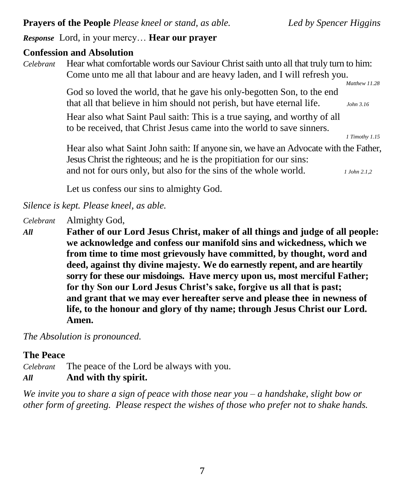**Prayers of the People** *Please kneel or stand, as able. Led by Spencer Higgins*

*Response* Lord, in your mercy… **Hear our prayer**

#### **Confession and Absolution**

*Celebrant* Hear what comfortable words our Saviour Christ saith unto all that truly turn to him: Come unto me all that labour and are heavy laden, and I will refresh you.

> God so loved the world, that he gave his only-begotten Son, to the end that all that believe in him should not perish, but have eternal life. *John 3.16*

Hear also what Saint Paul saith: This is a true saying, and worthy of all to be received, that Christ Jesus came into the world to save sinners.

*1 Timothy 1.15*

 *Matthew 11.28*

Hear also what Saint John saith: If anyone sin, we have an Advocate with the Father, Jesus Christ the righteous; and he is the propitiation for our sins: and not for ours only, but also for the sins of the whole world. *1 John 2.1,2*

Let us confess our sins to almighty God.

*Silence is kept. Please kneel, as able.*

*Celebrant* Almighty God,

*All* **Father of our Lord Jesus Christ, maker of all things and judge of all people: we acknowledge and confess our manifold sins and wickedness, which we from time to time most grievously have committed, by thought, word and deed, against thy divine majesty. We do earnestly repent, and are heartily sorry for these our misdoings. Have mercy upon us, most merciful Father; for thy Son our Lord Jesus Christ's sake, forgive us all that is past; and grant that we may ever hereafter serve and please thee in newness of life, to the honour and glory of thy name; through Jesus Christ our Lord. Amen.**

*The Absolution is pronounced.*

### **The Peace**

*Celebrant* The peace of the Lord be always with you.

*All* **And with thy spirit.**

*We invite you to share a sign of peace with those near you – a handshake, slight bow or other form of greeting. Please respect the wishes of those who prefer not to shake hands.*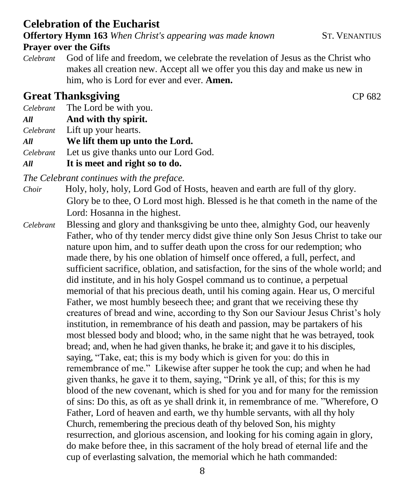8

# **Celebration of the Eucharist**

**Offertory Hymn 163** *When Christ's appearing was made known* ST. VENANTIUS

#### **Prayer over the Gifts**

*Celebrant* God of life and freedom, we celebrate the revelation of Jesus as the Christ who makes all creation new. Accept all we offer you this day and make us new in him, who is Lord for ever and ever. **Amen.**

## **Great Thanksgiving CP 682**

- *Celebrant* The Lord be with you.
- *All* **And with thy spirit.**

*Celebrant* Lift up your hearts.

#### *All* **We lift them up unto the Lord.**

- *Celebrant* Let us give thanks unto our Lord God.
- *All* **It is meet and right so to do.**

*The Celebrant continues with the preface.* 

- *Choir* Holy, holy, holy, Lord God of Hosts, heaven and earth are full of thy glory. Glory be to thee, O Lord most high. Blessed is he that cometh in the name of the Lord: Hosanna in the highest.
- *Celebrant* Blessing and glory and thanksgiving be unto thee, almighty God, our heavenly Father, who of thy tender mercy didst give thine only Son Jesus Christ to take our nature upon him, and to suffer death upon the cross for our redemption; who made there, by his one oblation of himself once offered, a full, perfect, and sufficient sacrifice, oblation, and satisfaction, for the sins of the whole world; and did institute, and in his holy Gospel command us to continue, a perpetual memorial of that his precious death, until his coming again. Hear us, O merciful Father, we most humbly beseech thee; and grant that we receiving these thy creatures of bread and wine, according to thy Son our Saviour Jesus Christ's holy institution, in remembrance of his death and passion, may be partakers of his most blessed body and blood; who, in the same night that he was betrayed, took bread; and, when he had given thanks, he brake it; and gave it to his disciples, saying, "Take, eat; this is my body which is given for you: do this in remembrance of me." Likewise after supper he took the cup; and when he had given thanks, he gave it to them, saying, "Drink ye all, of this; for this is my blood of the new covenant, which is shed for you and for many for the remission of sins: Do this, as oft as ye shall drink it, in remembrance of me. "Wherefore, O Father, Lord of heaven and earth, we thy humble servants, with all thy holy Church, remembering the precious death of thy beloved Son, his mighty resurrection, and glorious ascension, and looking for his coming again in glory, do make before thee, in this sacrament of the holy bread of eternal life and the cup of everlasting salvation, the memorial which he hath commanded: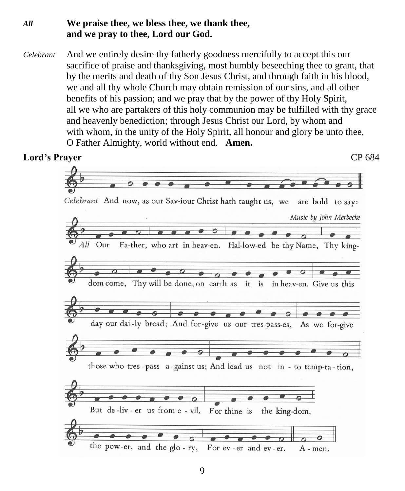### *All* **We praise thee, we bless thee, we thank thee, and we pray to thee, Lord our God.**

*Celebrant* And we entirely desire thy fatherly goodness mercifully to accept this our sacrifice of praise and thanksgiving, most humbly beseeching thee to grant, that by the merits and death of thy Son Jesus Christ, and through faith in his blood, we and all thy whole Church may obtain remission of our sins, and all other benefits of his passion; and we pray that by the power of thy Holy Spirit, all we who are partakers of this holy communion may be fulfilled with thy grace and heavenly benediction; through Jesus Christ our Lord, by whom and with whom, in the unity of the Holy Spirit, all honour and glory be unto thee, O Father Almighty, world without end. **Amen.**

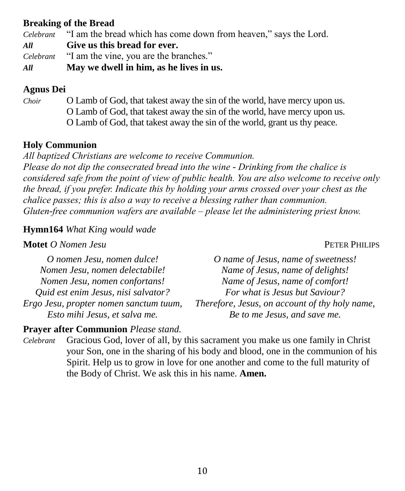### **Breaking of the Bread**

*Celebrant* "I am the bread which has come down from heaven," says the Lord. *All* **Give us this bread for ever.** *Celebrant* "I am the vine, you are the branches." *All* **May we dwell in him, as he lives in us.**

#### **Agnus Dei**

*Choir* O Lamb of God, that takest away the sin of the world, have mercy upon us. O Lamb of God, that takest away the sin of the world, have mercy upon us. O Lamb of God, that takest away the sin of the world, grant us thy peace.

#### **Holy Communion**

*All baptized Christians are welcome to receive Communion. Please do not dip the consecrated bread into the wine - Drinking from the chalice is considered safe from the point of view of public health. You are also welcome to receive only the bread, if you prefer. Indicate this by holding your arms crossed over your chest as the chalice passes; this is also a way to receive a blessing rather than communion. Gluten-free communion wafers are available – please let the administering priest know.*

#### **Hymn164** *What King would wade*

#### **Motet** *O* **Nomen Jesu <b>PETER PHILIPS**

| O nomen Jesu, nomen dulce!             | O name of Jesus, name of sweetness!            |
|----------------------------------------|------------------------------------------------|
| Nomen Jesu, nomen delectabile!         | Name of Jesus, name of delights!               |
| Nomen Jesu, nomen confortans!          | Name of Jesus, name of comfort!                |
| Quid est enim Jesus, nisi salvator?    | For what is Jesus but Saviour?                 |
| Ergo Jesu, propter nomen sanctum tuum, | Therefore, Jesus, on account of thy holy name, |
| Esto mihi Jesus, et salva me.          | Be to me Jesus, and save me.                   |

#### **Prayer after Communion** *Please stand.*

*Celebrant* Gracious God, lover of all, by this sacrament you make us one family in Christ your Son, one in the sharing of his body and blood, one in the communion of his Spirit. Help us to grow in love for one another and come to the full maturity of the Body of Christ. We ask this in his name. **Amen.**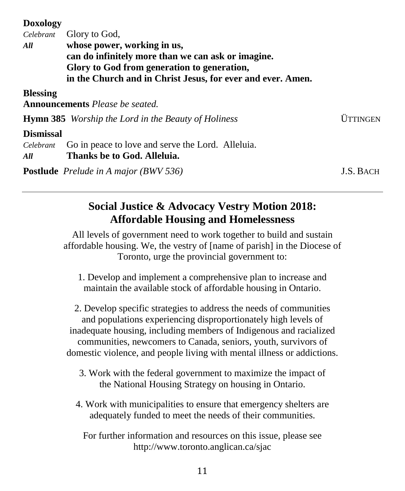#### **Doxology**

| Celebrant        | Glory to God,                                               |                  |
|------------------|-------------------------------------------------------------|------------------|
| All              | whose power, working in us,                                 |                  |
|                  | can do infinitely more than we can ask or imagine.          |                  |
|                  | Glory to God from generation to generation,                 |                  |
|                  | in the Church and in Christ Jesus, for ever and ever. Amen. |                  |
| <b>Blessing</b>  |                                                             |                  |
|                  | <b>Announcements</b> Please be seated.                      |                  |
|                  | <b>Hymn 385</b> Worship the Lord in the Beauty of Holiness  | ÜTTINGEN         |
| <b>Dismissal</b> |                                                             |                  |
| Celebrant        | Go in peace to love and serve the Lord. Alleluia.           |                  |
| All              | Thanks be to God. Alleluia.                                 |                  |
|                  | <b>Postlude</b> <i>Prelude</i> in A major (BWV 536)         | <b>J.S. BACH</b> |

## **Social Justice & Advocacy Vestry Motion 2018: Affordable Housing and Homelessness**

All levels of government need to work together to build and sustain affordable housing. We, the vestry of [name of parish] in the Diocese of Toronto, urge the provincial government to:

1. Develop and implement a comprehensive plan to increase and maintain the available stock of affordable housing in Ontario.

2. Develop specific strategies to address the needs of communities and populations experiencing disproportionately high levels of inadequate housing, including members of Indigenous and racialized communities, newcomers to Canada, seniors, youth, survivors of domestic violence, and people living with mental illness or addictions.

- 3. Work with the federal government to maximize the impact of the National Housing Strategy on housing in Ontario.
- 4. Work with municipalities to ensure that emergency shelters are adequately funded to meet the needs of their communities.

For further information and resources on this issue, please see http://www.toronto.anglican.ca/sjac